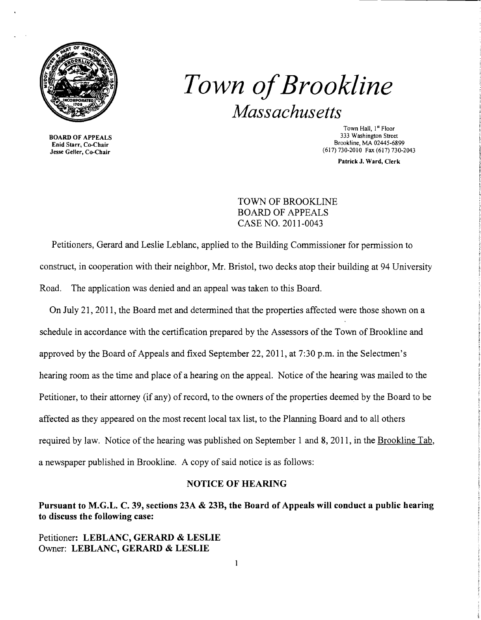

BOARD OF APPEALS Enid Starr, Co-Chair Jesse Geller, Co-Chair

*Town ofBrookline Massachusetts* 

> Town Hall, 1st Floor 333 Washington Street Brookline, MA 02445-6899 (617) 730-2010 Fax (617) 730-2043

> > Patrick J. Ward, Clerk

TOWN OF BROOKLINE BOARD OF APPEALS CASE NO. 2011-0043

Petitioners, Gerard and Leslie Leblanc, applied to the Building Commissioner for permission to construct, in cooperation with their neighbor, Mr. Bristol, two decks atop their building at 94 University Road. The application was denied and an appeal was taken to this Board.

On July 21, 2011, the Board met and detennined that the properties affected were those shown on a schedule in accordance with the certification prepared by the Assessors of the Town of Brookline and approved by the Board of Appeals and fixed September 22,2011, at 7:30 p.m. in the Selectmen's hearing room as the time and place of a hearing on the appeal. Notice of the hearing was mailed to the Petitioner, to their attorney (if any) of record, to the owners of the properties deemed by the Board to be affected as they appeared on the most recent local tax list, to the Planning Board and to all others required by law. Notice of the hearing was published on September 1 and 8, 2011, in the Brookline Tab, a newspaper published in Brookline. A copy of said notice is as follows:

### NOTICE OF HEARING

Pursuant to M.G.L. C. 39, sections 23A & 23B, the Board of Appeals will conduct a public hearing to discuss the following case:

Petitioner: LEBLANC, GERARD & LESLIE Owner: LEBLANC, GERARD & LESLIE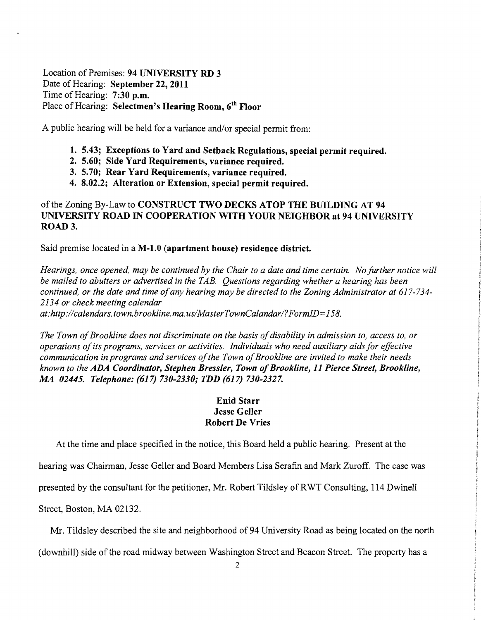Location of Premises: **94 UNIVERSITY RD 3**  Date of Hearing: **September 22, 2011**  Time of Hearing: **7:30 p.m.**  Place of Hearing: **Selectmen's Hearing Room, 6th Floor** 

A public hearing will be held for a variance and/or special permit from:

- **1. 5.43; Exceptions to Yard and Setback Regulations, special permit required.**
- **2. 5.60; Side Yard Requirements, variance required.**
- **3. 5.70; Rear Yard Requirements, variance required.**
- **4. 8.02.2; Alteration or Extension, special permit required.**

## of the Zoning By-Law to **CONSTRUCT TWO DECKS ATOP THE BUILDING AT 94 UNIVERSITY ROAD IN COOPERATION WITH YOUR NEIGHBOR at 94 UNIVERSITY ROAD 3.**

Said premise located in a **M-1.O (apartment house) residence district.** 

*Hearings, once opened, may be continued by the Chair to a date and time certain. No further notice will be mailed to abutters or advertised in the TAB. Questions regarding whether a hearing has been continued, or the date and time ofany hearing may be directed to the Zoning Administrator at 617-734 2134 or check meeting calendar at:http://calendars.town.brookline.ma.usIMasterTownCalandarl?FormID=158.* 

The Town of Brookline does not discriminate on the basis of disability in admission to, access to, or *operations ofits programs, services or activities. Individuals who need auxiliary aids for effective communication in programs and services ofthe Town ofBrookline are invited to make their needs known to the ADA Coordinator, Stephen Bressler, Town ofBrookline,* **11** *Pierce Street, Brookline,*  **M4** *02445. Telephone:* **(617)** *730-2330; TDD* **(617)** *730-2327.* 

# **Enid Starr Jesse Geller Robert De Vries**

At the time and place specified in the notice, this Board held a public hearing. Present at the

hearing was Chairman, Jesse Geller and Board Members Lisa Serafin and Mark Zuroff. The case was

presented by the consultant for the petitioner, Mr. Robert Tildsley of RWT Consulting, 114 Dwinell

Street, Boston, MA 02132.

Mr. Tildsley described the site and neighborhood of 94 University Road as being located on the north

(downhill) side of the road midway between Washington Street and Beacon Street. The property has a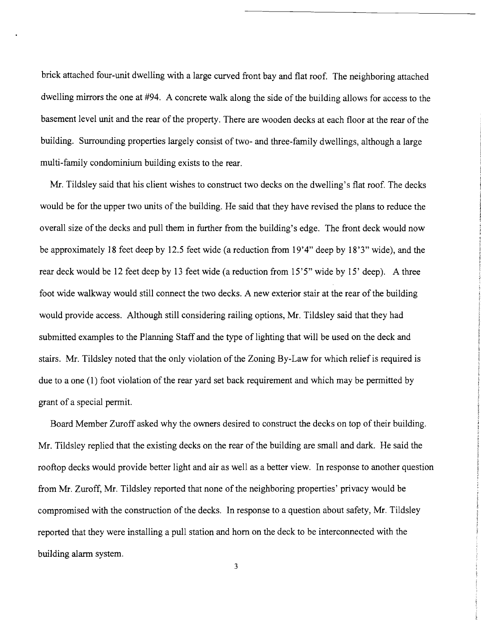brick attached four-unit dwelling with a large curved front bay and flat roof. The neighboring attached dwelling mirrors the one at #94. A concrete walk along the side of the building allows for access to the basement level unit and the rear of the property. There are wooden decks at each floor at the rear of the building. Surrounding properties largely consist of two- and three-family dwellings, although a large multi-family condominium building exists to the rear.

Mr. Tildsley said that his client wishes to construct two decks on the dwelling's flat roof. The decks would be for the upper two units of the building. He said that they have revised the plans to reduce the overall size of the decks and pull them in further from the building's edge. The front deck would now be approximately 18 feet deep by 12.5 feet wide (a reduction from 19'4" deep by 18'3" wide), and the rear deck would be 12 feet deep by 13 feet wide (a reduction from 15'5" wide by 15' deep). A three foot wide walkway would still connect the two decks. A new exterior stair at the rear of the building would provide access. Although still considering railing options, Mr. Tildsley said that they had submitted examples to the Planning Staff and the type of lighting that will be used on the deck and stairs. Mr. Tildsley noted that the only violation of the Zoning By-Law for which relief is required is due to a one (1) foot violation of the rear yard set back requirement and which may be permitted by grant of a special pennit.

Board Member Zuroff asked why the owners desired to construct the decks on top of their building. Mr. Tildsley replied that the existing decks on the rear of the building are small and dark. He said the rooftop decks would provide better light and air as well as a better view. In response to another question from Mr. Zuroff, Mr. Tildsley reported that none of the neighboring properties' privacy would be compromised with the construction of the decks. In response to a question about safety, Mr. Tildsley reported that they were installing a pull station and hom on the deck to be interconnected with the building alarm system.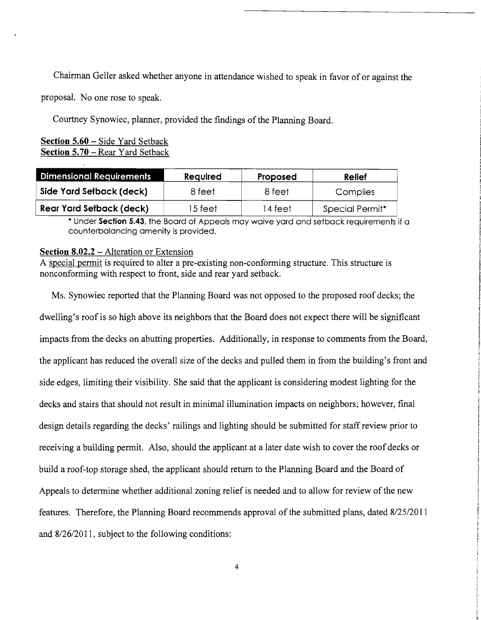Chairman Geller asked whether anyone in attendance wished to speak in favor of or against the

proposal. No one rose to speak.

Courtney Synowiec, planner, provided the findings of the Planning Board.

## **Section 5.60** - Side Yard Setback **Section 5.70 – Rear Yard Setback**

| <b>Dimensional Requirements</b> | Required | Proposed | <b>Relief</b>   |
|---------------------------------|----------|----------|-----------------|
| Side Yard Setback (deck)        | 8 feet   | 8 feet   | Complies        |
| <b>Rear Yard Setback (deck)</b> | 15 feet  | 14 feet  | Special Permit* |

\* Under **Section 5.43,** the Board of Appeals may waive yard and setback requirements if a counterbalancing amenity is provided.

#### **Section 8.02.2 – Alteration or Extension**

A special permit is required to alter a pre-existing non-conforming structure. This structure is nonconforming with respect to front, side and rear yard setback.

Ms. Synowiec reported that the Planning Board was not opposed to the proposed roof decks; the dwelling's roof is so high above its neighbors that the Board does not expect there will be significant impacts from the decks on abutting properties. Additionally, in response to comments from the Board, the applicant has reduced the overall size of the decks and pulled them in from the building's front and side edges, limiting their visibility. She said that the applicant is considering modest lighting for the decks and stairs that should not result in minimal illumination impacts on neighbors; however, final design details regarding the decks' railings and lighting should be submitted for staff review prior to receiving a building permit. Also, should the applicant at a later date wish to cover the roof decks or build a roof-top storage shed, the applicant should return to the Planning Board and the Board of Appeals to determine whether additional zoning relief is needed and to allow for review of the new features. Therefore, the Planning Board recommends approval of the submitted plans, dated 8/25/2011 and 8/26/2011, subject to the following conditions: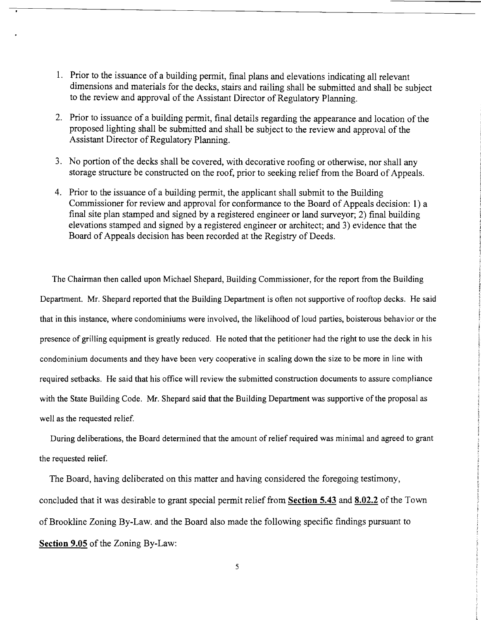- 1. Prior to the issuance of a building permit, final plans and elevations indicating all relevant dimensions and materials for the decks, stairs and railing shall be submitted and shall be subject to the review and approval of the Assistant Director of Regulatory Planning.
- 2. Prior to issuance of a building permit, final details regarding the appearance and location of the proposed lighting shall be submitted and shall be subject to the review and approval of the Assistant Director of Regulatory Planning.
- 3. No portion of the decks shall be covered, with decorative roofing or otherwise, nor shall any storage structure be constructed on the roof, prior to seeking relief from the Board of Appeals.
- 4. Prior to the issuance of a building permit, the applicant shall submit to the Building Commissioner for review and approval for conformance to the Board of Appeals decision: 1) a final site plan stamped and signed by a registered engineer or land surveyor; 2) final building elevations stamped and signed by a registered engineer or architect; and 3) evidence that the Board of Appeals decision has been recorded at the Registry of Deeds.

The Chairman then called upon Michael Shepard, Building Commissioner, for the report from the Building Department. Mr. Shepard reported that the Building Department is often not supportive of rooftop decks. He said that in this instance, where condominiums were involved, the likelihood of loud parties, boisterous behavior or the presence of grilling equipment is greatly reduced. He noted that the petitioner had the right to use the deck in his condominium documents and they have been very cooperative in scaling down the size to be more in line with required setbacks. He said that his office will review the submitted construction documents to assure compliance with the State Building Code. Mr. Shepard said that the Building Department was supportive of the proposal as well as the requested relief.

During deliberations, the Board detennined that the amount of relief required was minimal and agreed to grant the requested relief.

The Board, having deliberated on this matter and having considered the foregoing testimony, concluded that it was desirable to grant special permit relief from **Section 5.43 and 8.02.2** of the Town of Brookline Zoning By-Law. and the Board also made the following specific findings pursuant to **Section 9.05** of the Zoning By-Law: